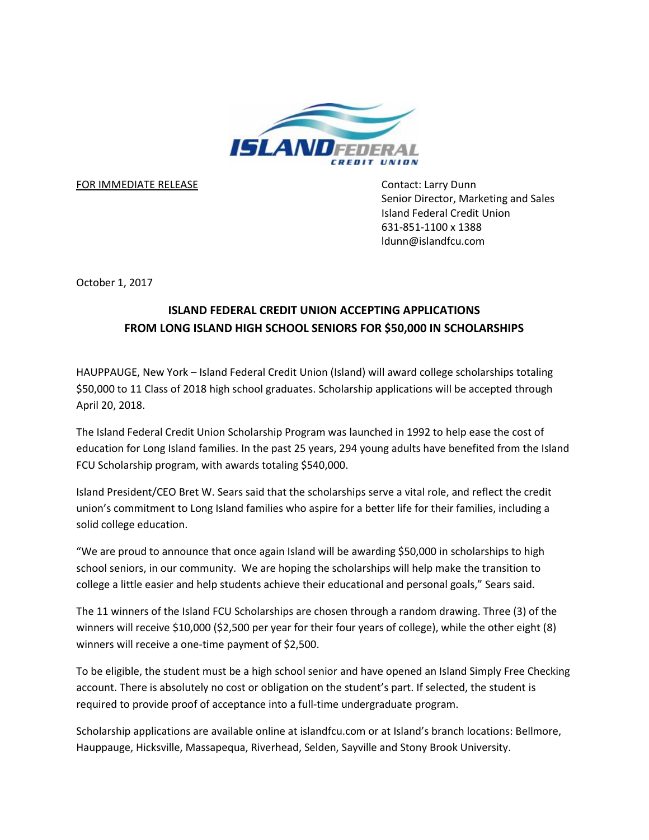

FOR IMMEDIATE RELEASE CONTACT CONTACT: Larry Dunn

Senior Director, Marketing and Sales Island Federal Credit Union 631-851-1100 x 1388 ldunn@islandfcu.com

October 1, 2017

## **ISLAND FEDERAL CREDIT UNION ACCEPTING APPLICATIONS FROM LONG ISLAND HIGH SCHOOL SENIORS FOR \$50,000 IN SCHOLARSHIPS**

HAUPPAUGE, New York – Island Federal Credit Union (Island) will award college scholarships totaling \$50,000 to 11 Class of 2018 high school graduates. Scholarship applications will be accepted through April 20, 2018.

The Island Federal Credit Union Scholarship Program was launched in 1992 to help ease the cost of education for Long Island families. In the past 25 years, 294 young adults have benefited from the Island FCU Scholarship program, with awards totaling \$540,000.

Island President/CEO Bret W. Sears said that the scholarships serve a vital role, and reflect the credit union's commitment to Long Island families who aspire for a better life for their families, including a solid college education.

"We are proud to announce that once again Island will be awarding \$50,000 in scholarships to high school seniors, in our community. We are hoping the scholarships will help make the transition to college a little easier and help students achieve their educational and personal goals," Sears said.

The 11 winners of the Island FCU Scholarships are chosen through a random drawing. Three (3) of the winners will receive \$10,000 (\$2,500 per year for their four years of college), while the other eight (8) winners will receive a one-time payment of \$2,500.

To be eligible, the student must be a high school senior and have opened an Island Simply Free Checking account. There is absolutely no cost or obligation on the student's part. If selected, the student is required to provide proof of acceptance into a full-time undergraduate program.

Scholarship applications are available online at islandfcu.com or at Island's branch locations: Bellmore, Hauppauge, Hicksville, Massapequa, Riverhead, Selden, Sayville and Stony Brook University.